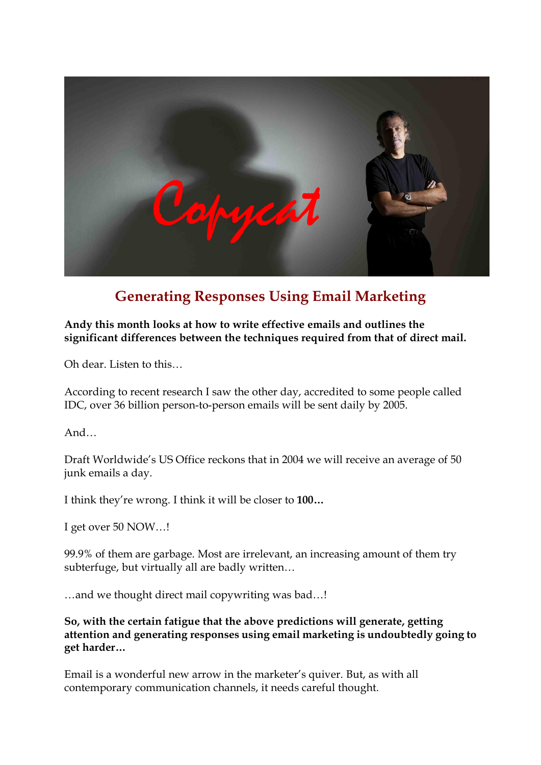

# **Generating Responses Using Email Marketing**

### **Andy this month looks at how to write effective emails and outlines the significant differences between the techniques required from that of direct mail.**

Oh dear. Listen to this…

According to recent research I saw the other day, accredited to some people called IDC, over 36 billion person-to-person emails will be sent daily by 2005.

And…

Draft Worldwide's US Office reckons that in 2004 we will receive an average of 50 junk emails a day.

I think they're wrong. I think it will be closer to **100…**

I get over 50 NOW…!

99.9% of them are garbage. Most are irrelevant, an increasing amount of them try subterfuge, but virtually all are badly written...<br>…and we thought direct mail copywriting was bad…!

**So, with the certain fatigue that the above predictions will generate, getting attention and generating responses using email marketing is undoubtedly going to get harder…**

Email is a wonderful new arrow in the marketer's quiver. But, as with all contemporary communication channels, it needs careful thought.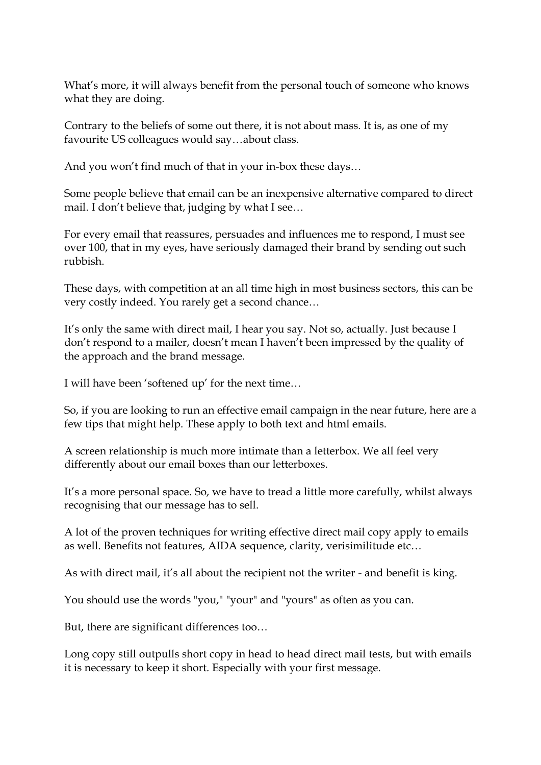What's more, it will always benefit from the personal touch of someone who knows what they are doing.

Contrary to the beliefs of some out there, it is not about mass. It is, as one of my favourite US colleagues would say…about class.

And you won't find much of that in your in-box these days...

Some people believe that email can be an inexpensive alternative compared to direct mail. I don't believe that, judging by what I see…

For every email that reassures, persuades and influences me to respond, I must see over 100, that in my eyes, have seriously damaged their brand by sending out such rubbish.

These days, with competition at an all time high in most business sectors, this can be very costly indeed. You rarely get a second chance…

It's only the same with direct mail, I hear you say. Not so, actually. Just because I don't respond to a mailer, doesn't mean I haven't been impressed by the quality of the approach and the brand message.

I will have been 'softened up' for the next time…

So, if you are looking to run an effective email campaign in the near future, here are a few tips that might help. These apply to both text and html emails.

A screen relationship is much more intimate than a letterbox. We all feel very differently about our email boxes than our letterboxes.

It's a more personal space. So, we have to tread a little more carefully, whilst always recognising that our message has to sell.

A lot of the proven techniques for writing effective direct mail copy apply to emails as well. Benefits not features, AIDA sequence, clarity, verisimilitude etc…

As with direct mail, it's all about the recipient not the writer - and benefit is king.

You should use the words "you," "your" and "yours" as often as you can.

But, there are significant differences too…

Long copy still outpulls short copy in head to head direct mail tests, but with emails it is necessary to keep it short. Especially with your first message.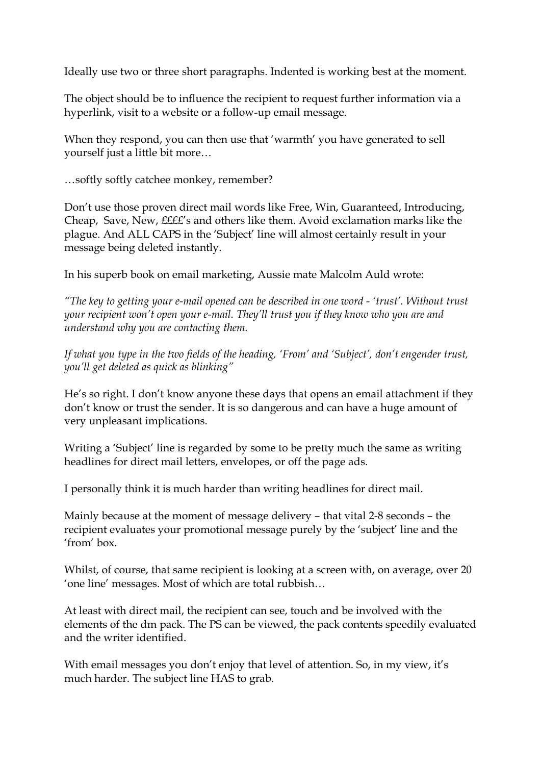Ideally use two or three short paragraphs. Indented is working best at the moment.

The object should be to influence the recipient to request further information via a hyperlink, visit to a website or a follow-up email message.

When they respond, you can then use that 'warmth' you have generated to sell

yourself just a little bit more...<br>…softly softly catchee monkey, remember?

Don't use those proven direct mail words like Free, Win, Guaranteed, Introducing, Cheap, Save, New, ££££'s and others like them. Avoid exclamation marks like the plague. And ALL CAPS in the 'Subject' line will almost certainly result in your message being deleted instantly.

In his superb book on email marketing, Aussie mate Malcolm Auld wrote:

*"The key to getting your email opened can be described in one word 'trust'. Without trust your recipient won't open your email. They'll trust you if they know who you are and understand why you are contacting them.*

*If what you type in the two fields of the heading, 'From' and 'Subject', don't engender trust, you'll get deleted as quick as blinking"*

He's so right. I don't know anyone these days that opens an email attachment if they don't know or trust the sender. It is so dangerous and can have a huge amount of very unpleasant implications.

Writing a 'Subject' line is regarded by some to be pretty much the same as writing headlines for direct mail letters, envelopes, or off the page ads.

I personally think it is much harder than writing headlines for direct mail.

Mainly because at the moment of message delivery – that vital 2-8 seconds – the recipient evaluates your promotional message purely by the 'subject' line and the 'from' box.

Whilst, of course, that same recipient is looking at a screen with, on average, over 20 'one line' messages. Most of which are total rubbish…

At least with direct mail, the recipient can see, touch and be involved with the elements of the dm pack. The PS can be viewed, the pack contents speedily evaluated and the writer identified.

With email messages you don't enjoy that level of attention. So, in my view, it's much harder. The subject line HAS to grab.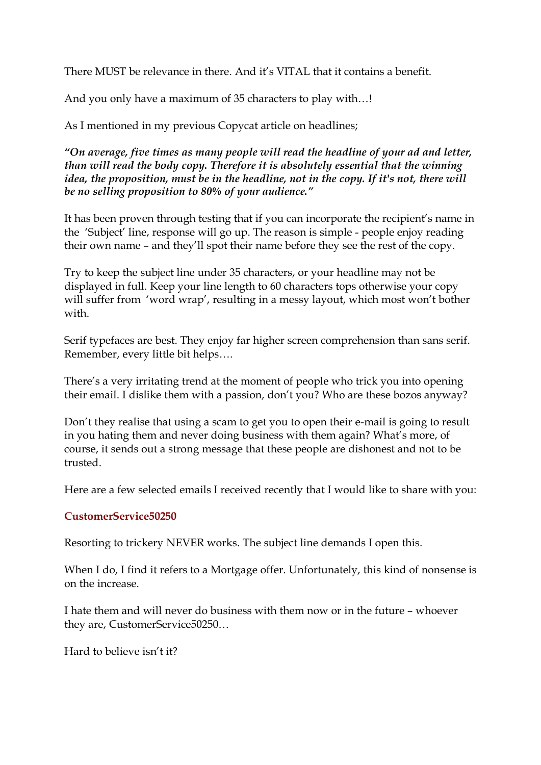There MUST be relevance in there. And it's VITAL that it contains a benefit.

And you only have a maximum of 35 characters to play with…!

As I mentioned in my previous Copycat article on headlines;

*"On average, five times as many people will read the headline of your ad and letter, than will read the body copy. Therefore it is absolutely essential that the winning idea, the proposition, must be in the headline, not in the copy. If it's not, there will be no selling proposition to 80% of your audience."*

It has been proven through testing that if you can incorporate the recipient's name in the 'Subject' line, response will go up. The reason is simple - people enjoy reading their own name – and they'll spot their name before they see the rest of the copy.

Try to keep the subject line under 35 characters, or your headline may not be displayed in full. Keep your line length to 60 characters tops otherwise your copy will suffer from 'word wrap', resulting in a messy layout, which most won't bother with.

Serif typefaces are best. They enjoy far higher screen comprehension than sans serif. Remember, every little bit helps….

There's a very irritating trend at the moment of people who trick you into opening their email. I dislike them with a passion, don't you? Who are these bozos anyway?

Don't they realise that using a scam to get you to open their e-mail is going to result in you hating them and never doing business with them again? What's more, of course, it sends out a strong message that these people are dishonest and not to be trusted.

Here are a few selected emails I received recently that I would like to share with you:

#### **CustomerService50250**

Resorting to trickery NEVER works. The subject line demands I open this.

When I do, I find it refers to a Mortgage offer. Unfortunately, this kind of nonsense is on the increase.

I hate them and will never do business with them now or in the future – whoever they are, CustomerService50250…

Hard to believe isn't it?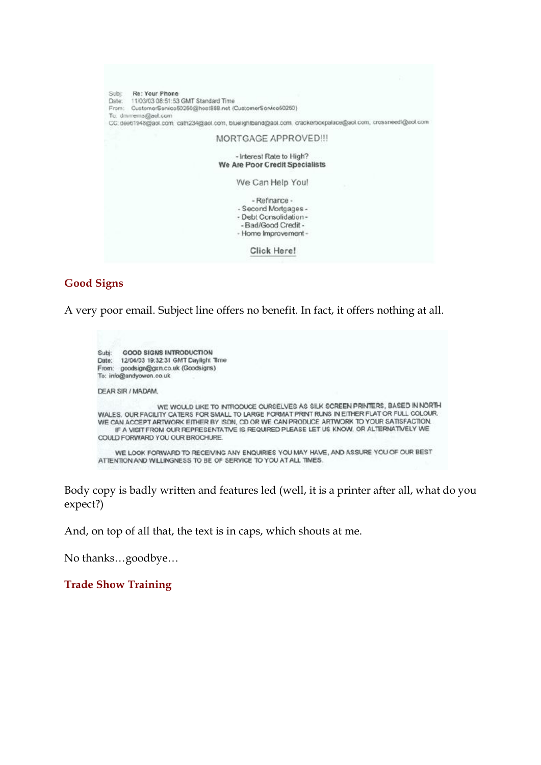

#### **Good Signs**

A very poor email. Subject line offers no benefit. In fact, it offers nothing at all.

| <b>GOOD SIGNS INTRODUCTION</b><br>Subi:<br>12/04/03 19:32:31 GMT Daylight Time<br>Date:<br>goodsign@grn.co.uk (Goodsigns)<br>From:<br>To: info@andyowen.co.uk                                                                                                                                                                                                                                           |  |
|---------------------------------------------------------------------------------------------------------------------------------------------------------------------------------------------------------------------------------------------------------------------------------------------------------------------------------------------------------------------------------------------------------|--|
| DEAR SIR / MADAM.                                                                                                                                                                                                                                                                                                                                                                                       |  |
| WE WOULD LIKE TO INTRODUCE OURSELVES AS SILK SCREEN PRINTERS, BASED IN NORTH<br>WALES, OUR FACILITY CATERS FOR SMALL TO LARGE FORMAT PRINT RUNS IN EITHER FLAT OR FULL COLOUR.<br>WE CAN ACCEPT ARTWORK EITHER BY ISDN, CD OR WE CAN PRODUCE ARTWORK TO YOUR SATISFACTION.<br>IF A VISIT FROM OUR REPRESENTATIVE IS REQUIRED PLEASE LET US KNOW. OR ALTERNATIVELY WE<br>COULD FORWARD YOU OUR BROCHURE. |  |
| WE LOOK FORWARD TO RECEIVING ANY ENQUIRIES YOU MAY HAVE, AND ASSURE YOU OF OUR BEST<br>ATTENTION AND WILLINGNESS TO BE OF SERVICE TO YOU AT ALL TIMES.                                                                                                                                                                                                                                                  |  |

Body copy is badly written and features led (well, it is a printer after all, what do you expect?)

And, on top of all that, the text is in caps, which shouts at me.

No thanks…goodbye…

**Trade Show Training**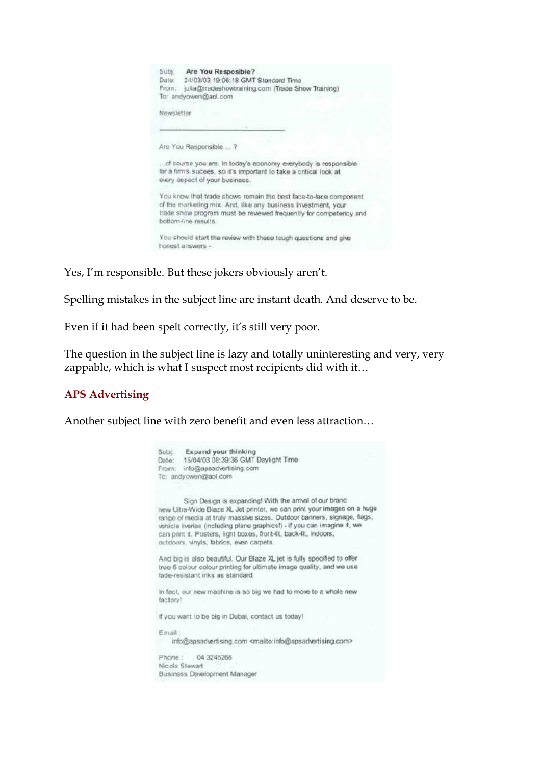| Subj:<br>Are You Resposible?<br>24/03/03 19:06:18 GMT Standard Time<br>Date<br>From:<br>julia@tradeshowtraining.com (Trade Show Training)<br>To: andyowen@ad.com                                                              |  |
|-------------------------------------------------------------------------------------------------------------------------------------------------------------------------------------------------------------------------------|--|
| Newsletter                                                                                                                                                                                                                    |  |
|                                                                                                                                                                                                                               |  |
| Are You Responsible?                                                                                                                                                                                                          |  |
| of course you are. In today's economy everybody is responsible<br>for a firm's sucees, so it's important to take a critical look at<br>every aspect of your business.                                                         |  |
| You know that trade shows remain the best face-to-face component<br>of the marketing mix. And, like any business investment, your<br>trade show program must be revewed frequently for competency and<br>bottom-line results. |  |
| You should start the review with these tough questions and give<br>honest answers -                                                                                                                                           |  |

Yes, I'm responsible. But these jokers obviously aren't.

Spelling mistakes in the subject line are instant death. And deserve to be.

Even if it had been spelt correctly, it's still very poor.

The question in the subject line is lazy and totally uninteresting and very, very zappable, which is what I suspect most recipients did with it…

## **APS Advertising**

Another subject line with zero benefit and even less attraction…

| Subj. Expand your thinking<br>15/04/03 08:39:36 GMT Daylight Time<br>Date:<br>info@apsadvertising.com<br>From:<br>To: andyowen@aol.com                                                                                                                                                                                                                                                                     |
|------------------------------------------------------------------------------------------------------------------------------------------------------------------------------------------------------------------------------------------------------------------------------------------------------------------------------------------------------------------------------------------------------------|
| Sign Design is expanding! With the arrival of our brand<br>new Ultra-Wide Blaze XL Jet printer, we can print your images on a huge<br>range of media at truly massive sizes. Outdoor banners, signage, flags,<br>vehicle liveries (including plane graphics!) - if you can imagine it, we<br>can print it. Posters, light boxes, front-lit, back-lit, indoors,<br>outdoors, vinyls, fabrics, even carpets. |
| And big is also beautiful. Our Blaze XL jet is fully specified to offer<br>true 6 colour colour printing for ultimate image quality, and we use<br>lade-resistant inks as standard.                                                                                                                                                                                                                        |
| In fact, our new machine is so big we had to move to a whole new<br>factory!                                                                                                                                                                                                                                                                                                                               |
| If you want to be big in Dubai, contact us today!                                                                                                                                                                                                                                                                                                                                                          |
| Email:<br>info@apsadvertising.com <mailto:info@apsadvertising.com></mailto:info@apsadvertising.com>                                                                                                                                                                                                                                                                                                        |
| 04 3245266<br>Phone:<br>Nicola Stewart<br>Business Development Manager                                                                                                                                                                                                                                                                                                                                     |
|                                                                                                                                                                                                                                                                                                                                                                                                            |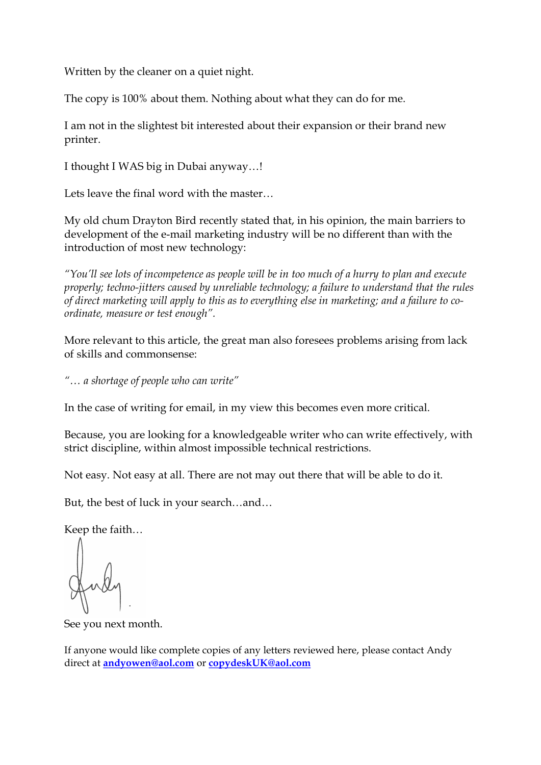Written by the cleaner on a quiet night.

The copy is 100% about them. Nothing about what they can do for me.

I am not in the slightest bit interested about their expansion or their brand new printer.

I thought I WAS big in Dubai anyway…!

Lets leave the final word with the master…

My old chum Drayton Bird recently stated that, in his opinion, the main barriers to development of the e-mail marketing industry will be no different than with the introduction of most new technology:

*"You'll see lots of incompetence as people will be in too much of a hurry to plan and execute properly; technojitters caused by unreliable technology; a failure to understand that the rules of direct marketing will apply to this as to everything else in marketing; and a failure to coordinate, measure or test enough".*

More relevant to this article, the great man also foresees problems arising from lack of skills and commonsense:

*"… a shortage of people who can write"*

In the case of writing for email, in my view this becomes even more critical.

Because, you are looking for a knowledgeable writer who can write effectively, with strict discipline, within almost impossible technical restrictions.

Not easy. Not easy at all. There are not may out there that will be able to do it.

But, the best of luck in your search…and…

Keep the faith…

See you next month.

If anyone would like complete copies of any letters reviewed here, please contact Andy direct at **[andyowen@aol.com](mailto:andyowen@aol.com)** or **[copydeskUK@aol.com](mailto:copydeskUK@aol.com)**